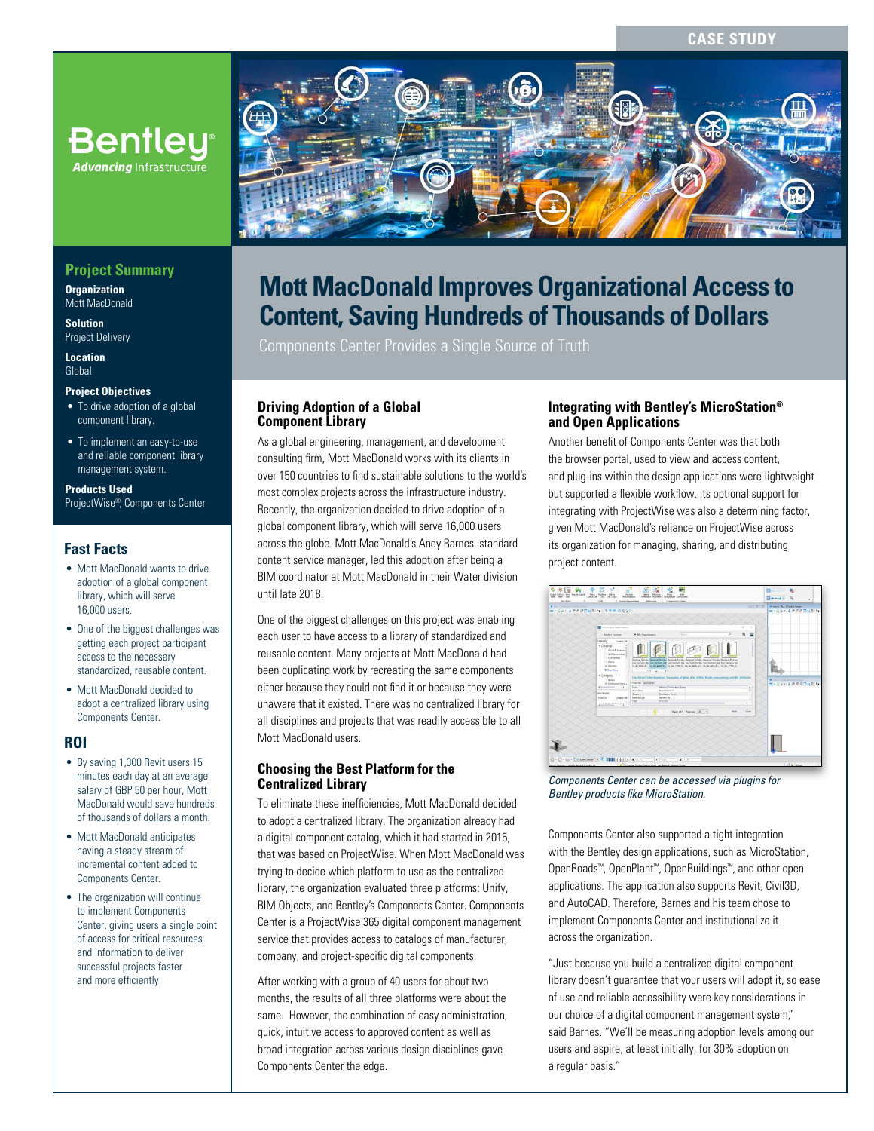**CASE STUDY**



# **Mott MacDonald Improves Organizational Access to Content, Saving Hundreds of Thousands of Dollars**

Components Center Provides a Single Source of Truth

### **Driving Adoption of a Global Component Library**

As a global engineering, management, and development consulting firm, Mott MacDonald works with its clients in over 150 countries to find sustainable solutions to the world's most complex projects across the infrastructure industry. Recently, the organization decided to drive adoption of a global component library, which will serve 16,000 users across the globe. Mott MacDonald's Andy Barnes, standard content service manager, led this adoption after being a BIM coordinator at Mott MacDonald in their Water division until late 2018.

One of the biggest challenges on this project was enabling each user to have access to a library of standardized and reusable content. Many projects at Mott MacDonald had been duplicating work by recreating the same components either because they could not find it or because they were unaware that it existed. There was no centralized library for all disciplines and projects that was readily accessible to all Mott MacDonald users.

## **Choosing the Best Platform for the Centralized Library**

To eliminate these inefficiencies, Mott MacDonald decided to adopt a centralized library. The organization already had a digital component catalog, which it had started in 2015, that was based on ProjectWise. When Mott MacDonald was trying to decide which platform to use as the centralized library, the organization evaluated three platforms: Unify, BIM Objects, and Bentley's Components Center. Components Center is a ProjectWise 365 digital component management service that provides access to catalogs of manufacturer, company, and project-specific digital components.

After working with a group of 40 users for about two months, the results of all three platforms were about the same. However, the combination of easy administration, quick, intuitive access to approved content as well as broad integration across various design disciplines gave Components Center the edge.

## **Integrating with Bentley's MicroStation® and Open Applications**

Another benefit of Components Center was that both the browser portal, used to view and access content, and plug-ins within the design applications were lightweight but supported a flexible workflow. Its optional support for integrating with ProjectWise was also a determining factor, given Mott MacDonald's reliance on ProjectWise across its organization for managing, sharing, and distributing project content.

| E . 00 . 1 . 2 . 20 0 4 0 1 : 5 2 2 6 2 3 0<br>TY 19 + 1 P P P D 40 ft<br><b>Call American Carlos Sulliver</b><br>$\Omega$<br>· My Organization<br><b>Service</b><br>A<br>Bestley Systems<br>Filter But<br>Chiatled AB<br>· Catalogs<br>Creb & Approval<br>Chil Companies<br>Col Painter<br>Destroy October Harboral Destroy Destroy Destroy Destroy Destroy October Bertrand Detroy<br>10 Doors<br>him Sameric Air Ham Sement age for Sement Aip from Sement Air from Sement Air from Sement Air<br>W. Denker<br>to do \$75. To record \$6.50 in the USS for beautiful to the \$75. To the USS for<br>W See More<br>$-114$<br>· Celegory<br>Electrical Distribution Siemens Alpha din 400s flush mounting width 800mm<br><b>William Exchange Streets College</b><br>11 Boles<br><b><i>Properties Disturbank</i></b><br>セ・ミッ・エネタス口当ち ちく<br>W. Distribution Form as<br><b>Decision Distribution Serve</b><br>a territorial control of the<br>Name:<br>Municipality CT<br><b>Accumulant</b><br>Windsfield<br>Distributor Farah<br>Centres<br>benes A)<br><b>Manufacturer</b><br>Terley K.L.<br>Linuxer-All<br><b>Britished</b><br><b>Sign</b><br>The World Will Print, Marco<br>$-$<br>$\overline{a}$ |  |  |                        |           |     |  |
|-----------------------------------------------------------------------------------------------------------------------------------------------------------------------------------------------------------------------------------------------------------------------------------------------------------------------------------------------------------------------------------------------------------------------------------------------------------------------------------------------------------------------------------------------------------------------------------------------------------------------------------------------------------------------------------------------------------------------------------------------------------------------------------------------------------------------------------------------------------------------------------------------------------------------------------------------------------------------------------------------------------------------------------------------------------------------------------------------------------------------------------------------------------------------------------------------------|--|--|------------------------|-----------|-----|--|
|                                                                                                                                                                                                                                                                                                                                                                                                                                                                                                                                                                                                                                                                                                                                                                                                                                                                                                                                                                                                                                                                                                                                                                                                     |  |  |                        |           |     |  |
|                                                                                                                                                                                                                                                                                                                                                                                                                                                                                                                                                                                                                                                                                                                                                                                                                                                                                                                                                                                                                                                                                                                                                                                                     |  |  |                        |           |     |  |
|                                                                                                                                                                                                                                                                                                                                                                                                                                                                                                                                                                                                                                                                                                                                                                                                                                                                                                                                                                                                                                                                                                                                                                                                     |  |  |                        |           |     |  |
|                                                                                                                                                                                                                                                                                                                                                                                                                                                                                                                                                                                                                                                                                                                                                                                                                                                                                                                                                                                                                                                                                                                                                                                                     |  |  |                        |           |     |  |
|                                                                                                                                                                                                                                                                                                                                                                                                                                                                                                                                                                                                                                                                                                                                                                                                                                                                                                                                                                                                                                                                                                                                                                                                     |  |  |                        |           |     |  |
|                                                                                                                                                                                                                                                                                                                                                                                                                                                                                                                                                                                                                                                                                                                                                                                                                                                                                                                                                                                                                                                                                                                                                                                                     |  |  |                        |           |     |  |
|                                                                                                                                                                                                                                                                                                                                                                                                                                                                                                                                                                                                                                                                                                                                                                                                                                                                                                                                                                                                                                                                                                                                                                                                     |  |  |                        |           |     |  |
|                                                                                                                                                                                                                                                                                                                                                                                                                                                                                                                                                                                                                                                                                                                                                                                                                                                                                                                                                                                                                                                                                                                                                                                                     |  |  |                        |           |     |  |
|                                                                                                                                                                                                                                                                                                                                                                                                                                                                                                                                                                                                                                                                                                                                                                                                                                                                                                                                                                                                                                                                                                                                                                                                     |  |  |                        |           |     |  |
|                                                                                                                                                                                                                                                                                                                                                                                                                                                                                                                                                                                                                                                                                                                                                                                                                                                                                                                                                                                                                                                                                                                                                                                                     |  |  | Reputati Reputas (20 - | <b>No</b> | Com |  |

*Components Center can be accessed via plugins for Bentley products like MicroStation.*

Components Center also supported a tight integration with the Bentley design applications, such as MicroStation, OpenRoads™, OpenPlant™, OpenBuildings™, and other open applications. The application also supports Revit, Civil3D, and AutoCAD. Therefore, Barnes and his team chose to implement Components Center and institutionalize it across the organization.

"Just because you build a centralized digital component library doesn't guarantee that your users will adopt it, so ease of use and reliable accessibility were key considerations in our choice of a digital component management system," said Barnes. "We'll be measuring adoption levels among our users and aspire, at least initially, for 30% adoption on a regular basis."

# **Project Summary**

**Advancing** Infrastructure

**Organization** Mott MacDonald

**Solution** Project Delivery

**Location** Global

#### **Project Objectives**

- To drive adoption of a global component library.
- To implement an easy-to-use and reliable component library management system.

#### **Products Used**

ProjectWise®, Components Center

## **Fast Facts**

- Mott MacDonald wants to drive adoption of a global component library, which will serve 16,000 users.
- One of the biggest challenges was getting each project participant access to the necessary standardized, reusable content.
- Mott MacDonald decided to adopt a centralized library using Components Center.

# **ROI**

- By saving 1,300 Revit users 15 minutes each day at an average salary of GBP 50 per hour, Mott MacDonald would save hundreds of thousands of dollars a month.
- Mott MacDonald anticipates having a steady stream of incremental content added to Components Center.
- The organization will continue to implement Components Center, giving users a single point of access for critical resources and information to deliver successful projects faster and more efficiently.